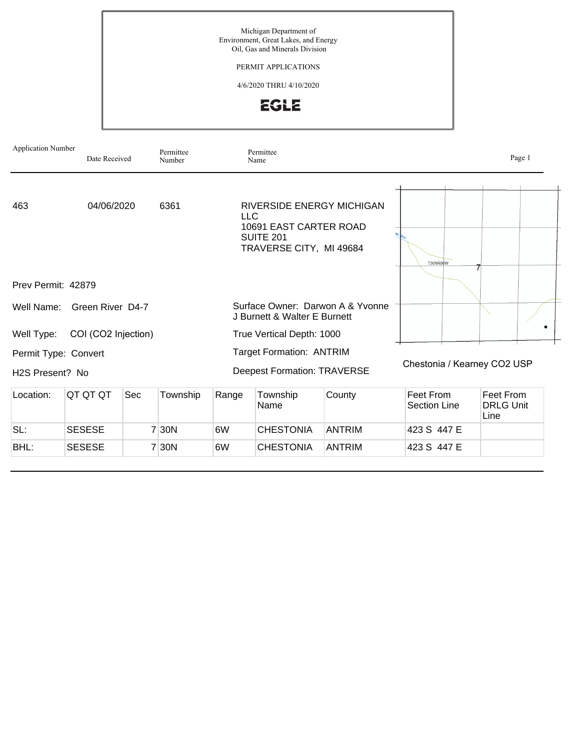

| <b>Application Number</b>               | Date Received       |     | Permittee<br>Number |       | Permittee<br>Name                                                                                                |                                  |                             |                                       | Page 1 |
|-----------------------------------------|---------------------|-----|---------------------|-------|------------------------------------------------------------------------------------------------------------------|----------------------------------|-----------------------------|---------------------------------------|--------|
| 463                                     | 04/06/2020          |     | 6361                |       | RIVERSIDE ENERGY MICHIGAN<br><b>LLC</b><br>10691 EAST CARTER ROAD<br><b>SUITE 201</b><br>TRAVERSE CITY, MI 49684 |                                  | T30NR06W                    |                                       |        |
| Prev Permit: 42879                      |                     |     |                     |       |                                                                                                                  |                                  |                             |                                       |        |
| Well Name:                              | Green River D4-7    |     |                     |       | J Burnett & Walter E Burnett                                                                                     | Surface Owner: Darwon A & Yvonne |                             |                                       |        |
| Well Type:                              | COI (CO2 Injection) |     |                     |       | True Vertical Depth: 1000                                                                                        |                                  |                             |                                       | ۰      |
| Permit Type: Convert<br>H2S Present? No |                     |     |                     |       | <b>Target Formation: ANTRIM</b><br><b>Deepest Formation: TRAVERSE</b>                                            |                                  | Chestonia / Kearney CO2 USP |                                       |        |
| Location:                               | QT QT QT            | Sec | Township            | Range | Township<br>Name                                                                                                 | County                           | Feet From<br>Section Line   | Feet From<br><b>DRLG Unit</b><br>Line |        |
| SL:                                     | <b>SESESE</b>       |     | 7 30N               | 6W    | <b>CHESTONIA</b>                                                                                                 | <b>ANTRIM</b>                    | 423 S 447 E                 |                                       |        |

BHL: SESESE 7 30N 6W CHESTONIA ANTRIM 423 S 447 E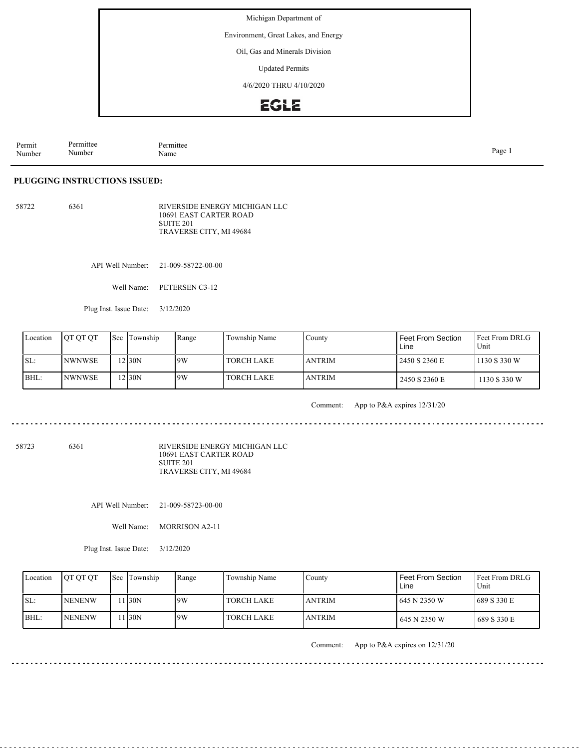Environment, Great Lakes, and Energy

Oil, Gas and Minerals Division

Updated Permits

4/6/2020 THRU 4/10/2020

# **EGLE**

| Permit<br>Number | Permittee<br>. .<br>Number | Permittee<br>Name | Page |
|------------------|----------------------------|-------------------|------|
|------------------|----------------------------|-------------------|------|

#### **PLUGGING INSTRUCTIONS ISSUED:**

58722 6361 RIVERSIDE ENERGY MICHIGAN LLC 10691 EAST CARTER ROAD SUITE 201 TRAVERSE CITY, MI 49684

API Well Number: 21-009-58722-00-00

Well Name: PETERSEN C3-12

Plug Inst. Issue Date: 3/12/2020

| Location | <b>OT OT OT</b> | <b>Sec Township</b> | Range | Township Name     | County         | l Feet From Section<br>Line | <b>IFeet From DRLG</b><br>Unit |
|----------|-----------------|---------------------|-------|-------------------|----------------|-----------------------------|--------------------------------|
| SL:      | INWNWSE         | $2$ 30N             | 19W   | <b>TORCH LAKE</b> | <b>JANTRIM</b> | 2450 S 2360 E               | 1130 S 330 W                   |
| BHL:     | <b>INWNWSE</b>  | 12130N              | 9W    | <b>TORCH LAKE</b> | <b>JANTRIM</b> | 2450 S 2360 E               | 1130 S 330 W                   |

Comment: App to P&A expires 12/31/20

58723 6361

RIVERSIDE ENERGY MICHIGAN LLC 10691 EAST CARTER ROAD SUITE 201 TRAVERSE CITY, MI 49684

API Well Number: 21-009-58723-00-00

Well Name: MORRISON A2-11

Plug Inst. Issue Date: 3/12/2020

| Location | <b>OT OT OT</b> | Sec Township | Range | Township Name     | County         | <b>Feet From Section</b><br>Line | <b>IFeet From DRLG</b><br>Unit |
|----------|-----------------|--------------|-------|-------------------|----------------|----------------------------------|--------------------------------|
| ISL:     | <b>INENENW</b>  | 1 I30N       | 9W    | <b>TORCH LAKE</b> | <b>JANTRIM</b> | 645 N 2350 W                     | 689 S 330 E                    |
| BHL:     | <b>INENENW</b>  | 1 I30N       | 9W    | <b>TORCH LAKE</b> | <b>ANTRIM</b>  | 645 N 2350 W                     | 1689 S 330 E                   |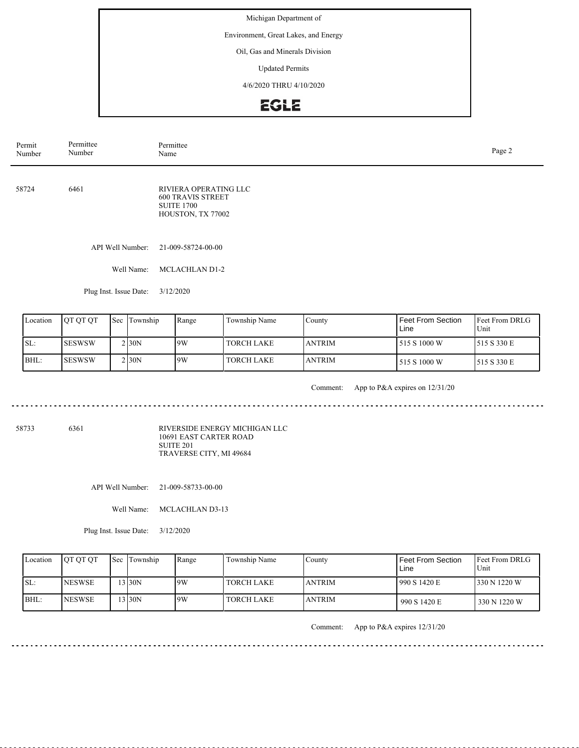Environment, Great Lakes, and Energy

Oil, Gas and Minerals Division

Updated Permits

4/6/2020 THRU 4/10/2020

# **EGLE**

| Permit<br>Number | Permittee<br>Number    | Permittee<br>Name                                                                           | Page 2 |
|------------------|------------------------|---------------------------------------------------------------------------------------------|--------|
| 58724            | 6461                   | RIVIERA OPERATING LLC<br><b>600 TRAVIS STREET</b><br><b>SUITE 1700</b><br>HOUSTON, TX 77002 |        |
|                  | API Well Number:       | 21-009-58724-00-00                                                                          |        |
|                  | Well Name:             | <b>MCLACHLAN D1-2</b>                                                                       |        |
|                  | Plug Inst. Issue Date: | 3/12/2020                                                                                   |        |

|      | Location | <b>IOT OT OT</b> | <b>Sec</b> Township | Range | Township Name | County         | Feet From Section<br>Line | <b>IFeet From DRLG</b><br>Unit |
|------|----------|------------------|---------------------|-------|---------------|----------------|---------------------------|--------------------------------|
| ISL: |          | ISESWSW          | 2130N               | 19W   | l TORCH LAKE  | <b>JANTRIM</b> | 515 S 1000 W              | 1515 S 330 E                   |
|      | IBHL:    | ISESWSW          | 2130N               | 19W   | TORCH LAKE    | <b>JANTRIM</b> | 515 S 1000 W              | 1515 S 330 E                   |

<u>. . . . . . . . .</u>

Comment: App to P&A expires on 12/31/20

. . . . . . . . . . . . . . . . . . . .

<u>. . . . . . . .</u>

58733 6361

RIVERSIDE ENERGY MICHIGAN LLC 10691 EAST CARTER ROAD SUITE 201 TRAVERSE CITY, MI 49684

API Well Number: 21-009-58733-00-00

Well Name: MCLACHLAN D3-13

Plug Inst. Issue Date: 3/12/2020

| Location | <b>OT OT OT</b> | <b>Sec Township</b> | Range | Township Name     | Countv        | l Feet From Section<br>Line | <b>IFeet From DRLG</b><br>Unit |
|----------|-----------------|---------------------|-------|-------------------|---------------|-----------------------------|--------------------------------|
| ISL:     | <b>INESWSE</b>  | $3$ 30N             | 9W    | TORCH LAKE        | <b>ANTRIM</b> | 1990 S 1420 E               | 330 N 1220 W                   |
| BHL:     | <b>NESWSE</b>   | 3 30N               | 9W    | <b>TORCH LAKE</b> | <b>ANTRIM</b> | 990 S 1420 E                | 330 N 1220 W                   |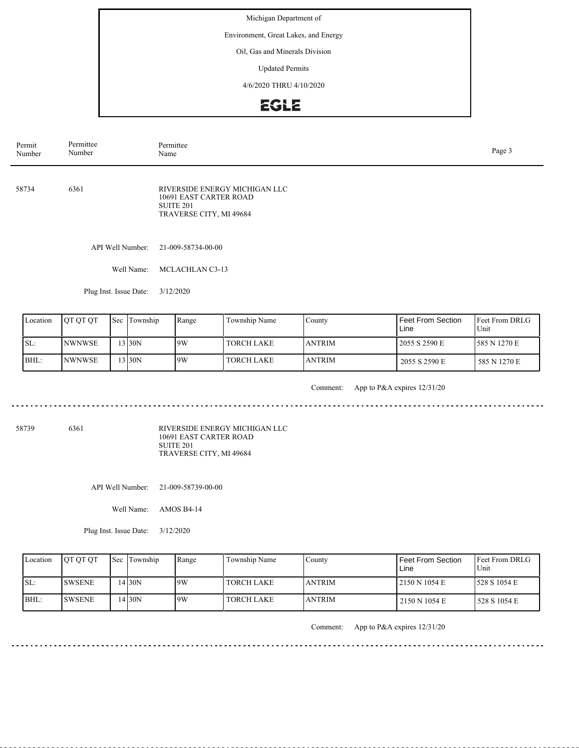Environment, Great Lakes, and Energy

Oil, Gas and Minerals Division

Updated Permits

4/6/2020 THRU 4/10/2020

# EGLE

| Permit<br>Number | Permittee<br>Number    | Permittee<br>Name                                                                                          | Page 3 |
|------------------|------------------------|------------------------------------------------------------------------------------------------------------|--------|
| 58734            | 6361                   | RIVERSIDE ENERGY MICHIGAN LLC<br>10691 EAST CARTER ROAD<br>SUITE <sub>201</sub><br>TRAVERSE CITY, MI 49684 |        |
|                  | API Well Number:       | 21-009-58734-00-00                                                                                         |        |
|                  | Well Name:             | MCLACHLAN C3-13                                                                                            |        |
|                  | Plug Inst. Issue Date: | 3/12/2020                                                                                                  |        |

|      | Location | <b>IOT OT OT</b> | <b>Sec</b> Township | Range | Township Name | County         | Feet From Section<br>Line | <b>IFeet From DRLG</b><br>Unit |
|------|----------|------------------|---------------------|-------|---------------|----------------|---------------------------|--------------------------------|
| SL:  |          | <b>INWNWSE</b>   | $3$ 30N             | 9W    | I TORCH LAKE  | <b>JANTRIM</b> | 2055 S 2590 E             | 585 N 1270 E                   |
| BHL: |          | INWNWSE          | $3$ 30N             | 19W   | l TORCH LAKE  | <b>JANTRIM</b> | 2055 S 2590 E             | 585 N 1270 E                   |

<u>. . . . . . . . .</u>

Comment: App to P&A expires 12/31/20

. . . . . . . . . . . . . . . . . .

<u>. . . . . . . .</u>

 $\frac{1}{2} \left( \frac{1}{2} \right) \left( \frac{1}{2} \right) \left( \frac{1}{2} \right) \left( \frac{1}{2} \right)$ 

58739 6361

RIVERSIDE ENERGY MICHIGAN LLC 10691 EAST CARTER ROAD SUITE 201 TRAVERSE CITY, MI 49684

API Well Number: 21-009-58739-00-00

Well Name: AMOS B4-14

Plug Inst. Issue Date: 3/12/2020

| Location | <b>OT OT OT</b> | <b>Sec Township</b> | Range | Township Name     | Countv        | l Feet From Section<br>Line | <b>IFeet From DRLG</b><br>Unit |
|----------|-----------------|---------------------|-------|-------------------|---------------|-----------------------------|--------------------------------|
| ISL:     | <b>ISWSENE</b>  | 4 30N               | 9W    | TORCH LAKE        | <b>ANTRIM</b> | 12150 N 1054 E              | 1528 S 1054 E                  |
| BHL:     | <b>ISWSENE</b>  | 4 30N               | 9W    | <b>TORCH LAKE</b> | <b>ANTRIM</b> | 2150 N 1054 E               | 528 S 1054 E                   |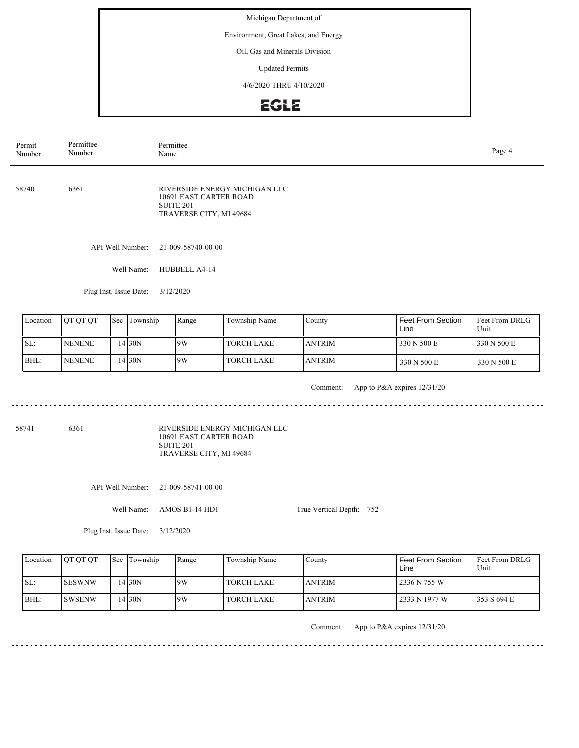Environment, Great Lakes, and Energy

Oil, Gas and Minerals Division

Updated Permits

4/6/2020 THRU 4/10/2020

# **EGLE**

| Permit<br>Number | Permittee<br>Number    |     |                  | Permittee<br>Name                                                                                      |               |        |                                  |                        |  |  |
|------------------|------------------------|-----|------------------|--------------------------------------------------------------------------------------------------------|---------------|--------|----------------------------------|------------------------|--|--|
| 58740            | 6361                   |     |                  | RIVERSIDE ENERGY MICHIGAN LLC<br>10691 EAST CARTER ROAD<br><b>SUITE 201</b><br>TRAVERSE CITY, MI 49684 |               |        |                                  |                        |  |  |
|                  |                        |     | API Well Number: | 21-009-58740-00-00                                                                                     |               |        |                                  |                        |  |  |
|                  |                        |     | Well Name:       | HUBBELL A4-14                                                                                          |               |        |                                  |                        |  |  |
|                  | Plug Inst. Issue Date: |     | 3/12/2020        |                                                                                                        |               |        |                                  |                        |  |  |
| Location         | QT QT QT               | Sec | Township         | Range                                                                                                  | Township Name | County | <b>Feet From Section</b><br>Line | Feet From DRLG<br>Unit |  |  |

| Location | <b>IOT OT OT</b> | <b>Sec Township</b> | Range | Township Name     | County         | l Feet From Section<br>Line | <b>IFeet From DRLG</b><br>Unit |
|----------|------------------|---------------------|-------|-------------------|----------------|-----------------------------|--------------------------------|
| ISL:     | <b>INENENE</b>   | 14130N              | 9W    | <b>TORCH LAKE</b> | <b>JANTRIM</b> | 330 N 500 E                 | 330 N 500 E                    |
| BHL:     | <b>INENENE</b>   | $.4$ 30N            | 9W    | <b>TORCH LAKE</b> | <b>JANTRIM</b> | 330 N 500 E                 | 330 N 500 E                    |

<u>. . . . . . . . .</u>

Comment: App to P&A expires 12/31/20

. . . . . . . . . . . . . . . . . .

. . . . . . . . . . . . . .

 $\frac{1}{2} \left( \frac{1}{2} \right) \left( \frac{1}{2} \right) \left( \frac{1}{2} \right) \left( \frac{1}{2} \right)$ 

58741 6361

RIVERSIDE ENERGY MICHIGAN LLC 10691 EAST CARTER ROAD SUITE 201 TRAVERSE CITY, MI 49684

API Well Number: 21-009-58741-00-00

Well Name: AMOS B1-14 HD1

True Vertical Depth: 752

Plug Inst. Issue Date: 3/12/2020

| Location | <b>OT OT OT</b> | <b>Sec Township</b> | Range | Township Name     | County         | I Feet From Section<br>Line | <b>IFeet From DRLG</b><br>Unit |
|----------|-----------------|---------------------|-------|-------------------|----------------|-----------------------------|--------------------------------|
| SL:      | <b>ISESWNW</b>  | 4130N               | 19W   | <b>TORCH LAKE</b> | <b>JANTRIM</b> | l 2336 N 755 W              |                                |
| BHL:     | <b>SWSENW</b>   | 4130N               | 9W    | <b>TORCH LAKE</b> | <b>JANTRIM</b> | 12333 N 1977 W              | 1353 S 694 E                   |

 $- - - - - -$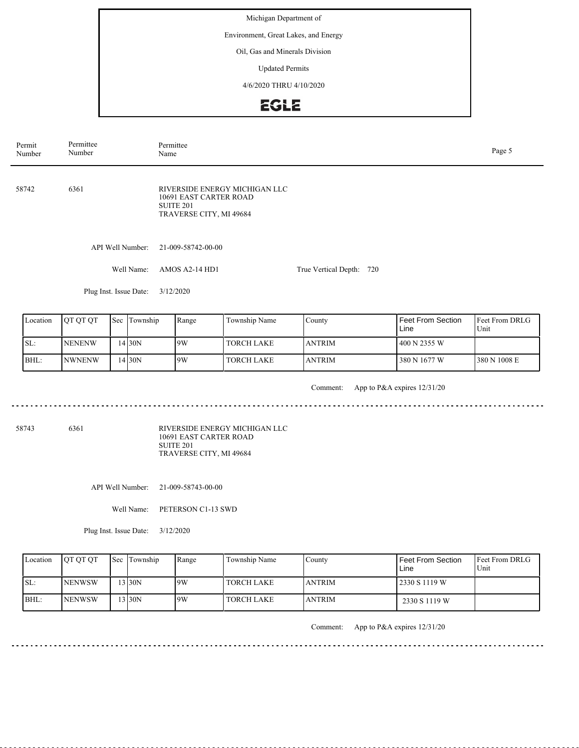Environment, Great Lakes, and Energy

Oil, Gas and Minerals Division

Updated Permits

4/6/2020 THRU 4/10/2020

### **EGLE**

API Well Number: 21-009-58742-00-00 Well Name: AMOS A2-14 HD1 Plug Inst. Issue Date: 3/12/2020 True Vertical Depth: 720 58742 6361  $F_{\text{ref}}$  From DDI $\subset$ Unit Feet From Section Line  $\overline{\Gamma_{\text{C}}}$ Location | QT QT QT | Sec | Township | Range | Township Name RIVERSIDE ENERGY MICHIGAN LLC 10691 EAST CARTER ROAD SUITE 201 TRAVERSE CITY, MI 49684 Permit Number Permittee Number Permittee<br>Name Name Page 5

| ∎∟ocation | TOT OF OT      | <b>ISec Hownship</b> | Range | Township Name     | County        | <b>Feet From Section</b><br>Line | <b>IFeet From DRLG</b><br>Unit |
|-----------|----------------|----------------------|-------|-------------------|---------------|----------------------------------|--------------------------------|
| ISL:      | <b>INENENW</b> | 14130N               | 9W    | <b>TORCH LAKE</b> | <b>ANTRIM</b> | 400 N 2355 W                     |                                |
| BHL:      | INWNENW        | $.4$ 30N             | 9W    | <b>TORCH LAKE</b> | <b>ANTRIM</b> | 380 N 1677 W                     | 1380 N 1008 E                  |

. . . . . . . . . . . . . . . . . .

Comment: App to P&A expires 12/31/20

58743 6361

RIVERSIDE ENERGY MICHIGAN LLC 10691 EAST CARTER ROAD SUITE 201 TRAVERSE CITY, MI 49684

API Well Number: 21-009-58743-00-00

Well Name: PETERSON C1-13 SWD

Plug Inst. Issue Date: 3/12/2020

| Location | <b>IOT OT OT</b> | <b>Sec Township</b> | Range | Township Name | Countv        | Feet From Section<br>Line | <b>IFeet From DRLG</b><br>Unit |
|----------|------------------|---------------------|-------|---------------|---------------|---------------------------|--------------------------------|
| ISL:     | <b>NENWSW</b>    | $3$ 30N             | 9W    | TORCH LAKE    | <b>ANTRIM</b> | 2330 S 1119 W             |                                |
| BHL:     | <b>NENWSW</b>    | 13 <sub>30N</sub>   | 9W    | TORCH LAKE    | <b>ANTRIM</b> | 2330 S 1119 W             |                                |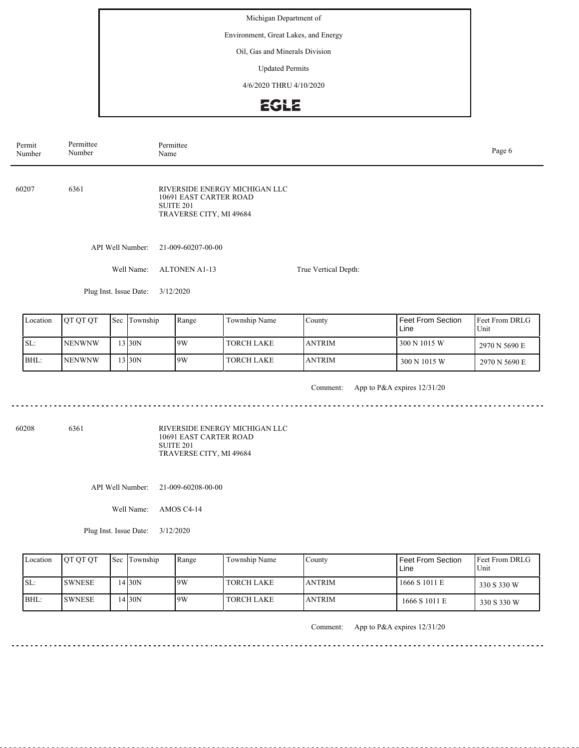Environment, Great Lakes, and Energy

Oil, Gas and Minerals Division

Updated Permits

4/6/2020 THRU 4/10/2020

#### **EGLE**

API Well Number: 21-009-60207-00-00 Well Name: ALTONEN A1-13 Plug Inst. Issue Date: 3/12/2020 True Vertical Depth: 60207 6361 RIVERSIDE ENERGY MICHIGAN LLC 10691 EAST CARTER ROAD SUITE 201 TRAVERSE CITY, MI 49684 Permit Number Permittee Number Permittee<br>Name Name Page 6

| Location | <b>JOT OT OT</b> | Sec | Township | Range | Township Name | County         | Feet From Section<br>Line | <b>IFeet From DRLG</b><br>Unit |
|----------|------------------|-----|----------|-------|---------------|----------------|---------------------------|--------------------------------|
| ISL:     | <b>INENWNW</b>   |     | $3$ 30N  | 19W   | l TORCH LAKE  | <b>JANTRIM</b> | 300 N 1015 W              | 2970 N 5690 E                  |
| BHL:     | <b>INENWNW</b>   |     | $3$ 30N  | 19W   | l TORCH LAKE  | <b>JANTRIM</b> | 300 N 1015 W              | 2970 N 5690 E                  |

<u>. . . . . . . .</u>

Comment: App to P&A expires 12/31/20

<u>. . . . . . . . . . . . . . . . . .</u>

60208 6361

RIVERSIDE ENERGY MICHIGAN LLC 10691 EAST CARTER ROAD SUITE 201 TRAVERSE CITY, MI 49684

API Well Number: 21-009-60208-00-00

Well Name: AMOS C4-14

Plug Inst. Issue Date: 3/12/2020

| Location | <b>OT OT OT</b> | <b>Sec Township</b> | Range | Township Name | Countv        | Feet From Section<br>Line | <b>IFeet From DRLG</b><br>Unit |
|----------|-----------------|---------------------|-------|---------------|---------------|---------------------------|--------------------------------|
| ISL:     | <b>SWNESE</b>   | 4130N               | 9W    | l TORCH LAKE  | <b>ANTRIM</b> | 1666 S 1011 E             | 330 S 330 W                    |
| BHL:     | <b>ISWNESE</b>  | 4130N               | 9W    | TORCH LAKE    | <b>ANTRIM</b> | 1666 S 1011 E             | 330 S 330 W                    |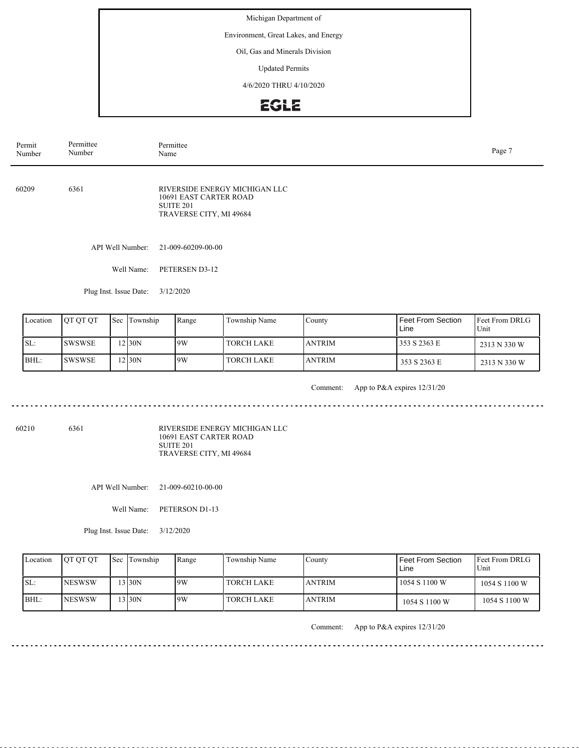Environment, Great Lakes, and Energy

Oil, Gas and Minerals Division

Updated Permits

4/6/2020 THRU 4/10/2020

# **EGLE**

| Permit<br>Number | Permittee<br>Number    | Permittee<br>Name                                                                                      | Page 7 |
|------------------|------------------------|--------------------------------------------------------------------------------------------------------|--------|
| 60209            | 6361                   | RIVERSIDE ENERGY MICHIGAN LLC<br>10691 EAST CARTER ROAD<br><b>SUITE 201</b><br>TRAVERSE CITY, MI 49684 |        |
|                  | API Well Number:       | 21-009-60209-00-00                                                                                     |        |
|                  | Well Name:             | PETERSEN D3-12                                                                                         |        |
|                  | Plug Inst. Issue Date: | 3/12/2020                                                                                              |        |
|                  |                        |                                                                                                        |        |

| Location | <b>IOT OT OT</b> | <b>Sec Township</b> | Range | Township Name     | County         | Feet From Section<br>Line | <b>IFeet From DRLG</b><br>Unit |
|----------|------------------|---------------------|-------|-------------------|----------------|---------------------------|--------------------------------|
| SL:      | <b>ISWSWSE</b>   | 2130N               | 9W    | <b>TORCH LAKE</b> | <b>JANTRIM</b> | 353 S 2363 E              | 2313 N 330 W                   |
| BHL:     | <b>ISWSWSE</b>   | 2 30N               | 19W   | <b>TORCH LAKE</b> | <b>JANTRIM</b> | 353 S 2363 E              | 2313 N 330 W                   |

<u>. . . . . . . . .</u>

Comment: App to P&A expires 12/31/20

<u>. . . . . . . . . . . . .</u>

60210 6361

RIVERSIDE ENERGY MICHIGAN LLC 10691 EAST CARTER ROAD SUITE 201 TRAVERSE CITY, MI 49684

API Well Number: 21-009-60210-00-00

Well Name: PETERSON D1-13

Plug Inst. Issue Date: 3/12/2020

| Location | <b>OT OT OT</b> | <b>Sec Township</b> | Range | Township Name | Countv        | Feet From Section<br>Line | <b>IFeet From DRLG</b><br>Unit |
|----------|-----------------|---------------------|-------|---------------|---------------|---------------------------|--------------------------------|
| ISL:     | <b>INESWSW</b>  | $3$ 30N             | 9W    | l TORCH LAKE  | <b>ANTRIM</b> | 1054 S 1100 W             | 1054 S 1100 W                  |
| BHL:     | <b>INESWSW</b>  | $3$ 30N             | 9W    | TORCH LAKE    | <b>ANTRIM</b> | 1054 S 1100 W             | 1054 S 1100 W                  |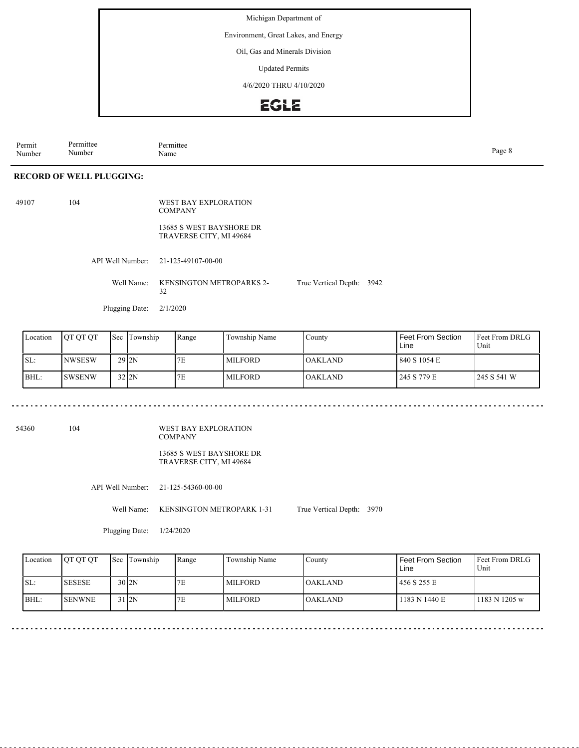Environment, Great Lakes, and Energy

Oil, Gas and Minerals Division

Updated Permits

4/6/2020 THRU 4/10/2020

### **EGLE**

Permit Number Permittee Number Permittee<br>Name Name Page 8

#### **RECORD OF WELL PLUGGING:**

| 49107 | 104 |                         | WEST BAY EXPLORATION<br><b>COMPANY</b>              |               |
|-------|-----|-------------------------|-----------------------------------------------------|---------------|
|       |     |                         | 13685 S WEST BAYSHORE DR<br>TRAVERSE CITY, MI 49684 |               |
|       |     |                         | API Well Number: 21-125-49107-00-00                 |               |
|       |     |                         | Well Name: KENSINGTON METROPARKS 2-<br>32           | True Vertical |
|       |     | Plugging Date: 2/1/2020 |                                                     |               |

| Location | <b>OT OT OT</b> | Sec | Township           | Range | Township Name  | County    | <b>Feet From Section</b><br>Line | <b>IFeet From DRLG</b><br>Unit |
|----------|-----------------|-----|--------------------|-------|----------------|-----------|----------------------------------|--------------------------------|
| SL:      | <b>NWSESW</b>   |     | $29$ <sub>2N</sub> | 7E    | <b>MILFORD</b> | IOAKLAND. | 840 S 1054 E                     |                                |
| $IBHL$ : | ISWSENW         |     | $32$ $2N$          | 7E    | <b>MILFORD</b> | IOAKLAND. | 245 S 779 E                      | 245 S 541 W                    |

Depth: 3942

54360 104

WEST BAY EXPLORATION COMPANY

13685 S WEST BAYSHORE DR TRAVERSE CITY, MI 49684

API Well Number: 21-125-54360-00-00

Well Name: KENSINGTON METROPARK 1-31 True Vertical Depth: 3970

Plugging Date: 1/24/2020

| Location | <b>IOT OT OT</b> | <b>Sec</b> Township | Range | Township Name | County         | Feet From Section<br>Line | <b>IFeet From DRLG</b><br>Unit |
|----------|------------------|---------------------|-------|---------------|----------------|---------------------------|--------------------------------|
| SL:      | <b>SESESE</b>    | $30$  2N            |       | MILFORD       | IOAKLAND-      | 456 S 255 E               |                                |
| BHL      | <b>ISENWNE</b>   | $31$ <sub>2N</sub>  | 7E    | MILFORD       | <b>OAKLAND</b> | 1183 N 1440 E             | 1183 N 1205 w                  |